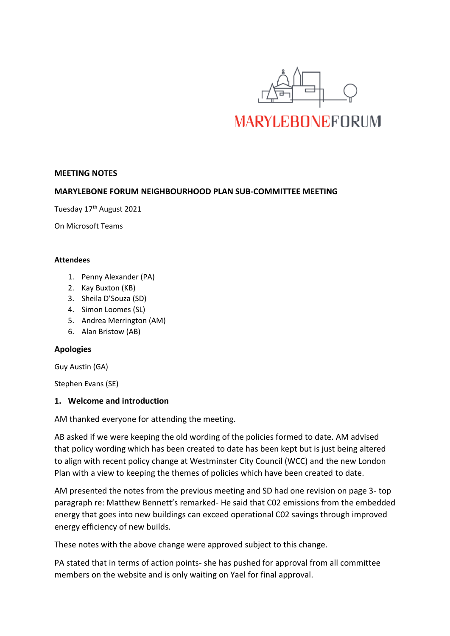

## **MEETING NOTES**

## **MARYLEBONE FORUM NEIGHBOURHOOD PLAN SUB-COMMITTEE MEETING**

Tuesday 17<sup>th</sup> August 2021

On Microsoft Teams

#### **Attendees**

- 1. Penny Alexander (PA)
- 2. Kay Buxton (KB)
- 3. Sheila D'Souza (SD)
- 4. Simon Loomes (SL)
- 5. Andrea Merrington (AM)
- 6. Alan Bristow (AB)

#### **Apologies**

Guy Austin (GA)

Stephen Evans (SE)

#### **1. Welcome and introduction**

AM thanked everyone for attending the meeting.

AB asked if we were keeping the old wording of the policies formed to date. AM advised that policy wording which has been created to date has been kept but is just being altered to align with recent policy change at Westminster City Council (WCC) and the new London Plan with a view to keeping the themes of policies which have been created to date.

AM presented the notes from the previous meeting and SD had one revision on page 3- top paragraph re: Matthew Bennett's remarked- He said that C02 emissions from the embedded energy that goes into new buildings can exceed operational C02 savings through improved energy efficiency of new builds.

These notes with the above change were approved subject to this change.

PA stated that in terms of action points- she has pushed for approval from all committee members on the website and is only waiting on Yael for final approval.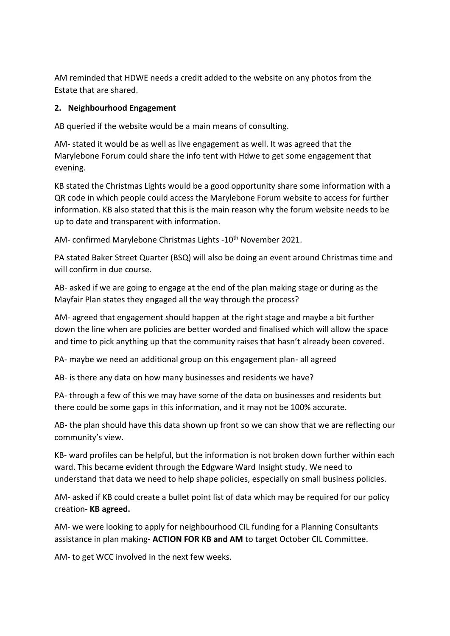AM reminded that HDWE needs a credit added to the website on any photos from the Estate that are shared.

# **2. Neighbourhood Engagement**

AB queried if the website would be a main means of consulting.

AM- stated it would be as well as live engagement as well. It was agreed that the Marylebone Forum could share the info tent with Hdwe to get some engagement that evening.

KB stated the Christmas Lights would be a good opportunity share some information with a QR code in which people could access the Marylebone Forum website to access for further information. KB also stated that this is the main reason why the forum website needs to be up to date and transparent with information.

AM- confirmed Marylebone Christmas Lights -10<sup>th</sup> November 2021.

PA stated Baker Street Quarter (BSQ) will also be doing an event around Christmas time and will confirm in due course.

AB- asked if we are going to engage at the end of the plan making stage or during as the Mayfair Plan states they engaged all the way through the process?

AM- agreed that engagement should happen at the right stage and maybe a bit further down the line when are policies are better worded and finalised which will allow the space and time to pick anything up that the community raises that hasn't already been covered.

PA- maybe we need an additional group on this engagement plan- all agreed

AB- is there any data on how many businesses and residents we have?

PA- through a few of this we may have some of the data on businesses and residents but there could be some gaps in this information, and it may not be 100% accurate.

AB- the plan should have this data shown up front so we can show that we are reflecting our community's view.

KB- ward profiles can be helpful, but the information is not broken down further within each ward. This became evident through the Edgware Ward Insight study. We need to understand that data we need to help shape policies, especially on small business policies.

AM- asked if KB could create a bullet point list of data which may be required for our policy creation- **KB agreed.**

AM- we were looking to apply for neighbourhood CIL funding for a Planning Consultants assistance in plan making- **ACTION FOR KB and AM** to target October CIL Committee.

AM- to get WCC involved in the next few weeks.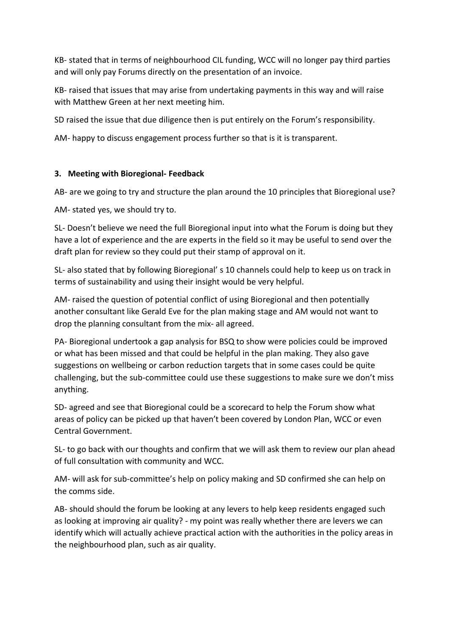KB- stated that in terms of neighbourhood CIL funding, WCC will no longer pay third parties and will only pay Forums directly on the presentation of an invoice.

KB- raised that issues that may arise from undertaking payments in this way and will raise with Matthew Green at her next meeting him.

SD raised the issue that due diligence then is put entirely on the Forum's responsibility.

AM- happy to discuss engagement process further so that is it is transparent.

# **3. Meeting with Bioregional- Feedback**

AB- are we going to try and structure the plan around the 10 principles that Bioregional use?

AM- stated yes, we should try to.

SL- Doesn't believe we need the full Bioregional input into what the Forum is doing but they have a lot of experience and the are experts in the field so it may be useful to send over the draft plan for review so they could put their stamp of approval on it.

SL- also stated that by following Bioregional' s 10 channels could help to keep us on track in terms of sustainability and using their insight would be very helpful.

AM- raised the question of potential conflict of using Bioregional and then potentially another consultant like Gerald Eve for the plan making stage and AM would not want to drop the planning consultant from the mix- all agreed.

PA- Bioregional undertook a gap analysis for BSQ to show were policies could be improved or what has been missed and that could be helpful in the plan making. They also gave suggestions on wellbeing or carbon reduction targets that in some cases could be quite challenging, but the sub-committee could use these suggestions to make sure we don't miss anything.

SD- agreed and see that Bioregional could be a scorecard to help the Forum show what areas of policy can be picked up that haven't been covered by London Plan, WCC or even Central Government.

SL- to go back with our thoughts and confirm that we will ask them to review our plan ahead of full consultation with community and WCC.

AM- will ask for sub-committee's help on policy making and SD confirmed she can help on the comms side.

AB- should should the forum be looking at any levers to help keep residents engaged such as looking at improving air quality? - my point was really whether there are levers we can identify which will actually achieve practical action with the authorities in the policy areas in the neighbourhood plan, such as air quality.